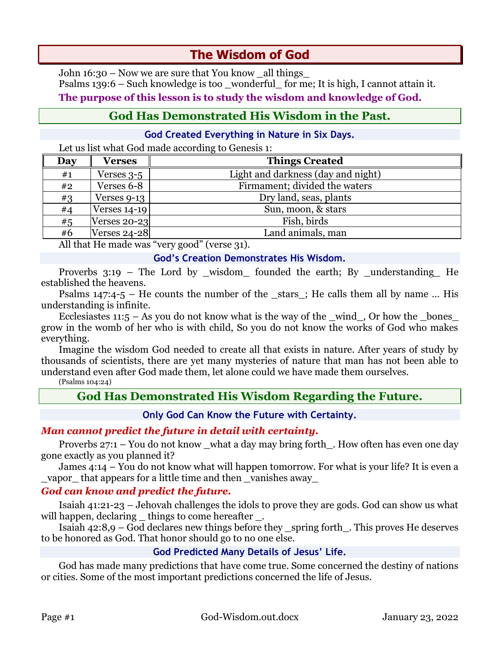# **The Wisdom of God**

John 16:30 – Now we are sure that You know \_all things\_ Psalms 139:6 – Such knowledge is too \_wonderful\_ for me; It is high, I cannot attain it. **The purpose of this lesson is to study the wisdom and knowledge of God.**

## **God Has Demonstrated His Wisdom in the Past.**

### **God Created Everything in Nature in Six Days.**

Let us list what God made according to Genesis 1:

| Day | Verses              | <b>Things Created</b>              |  |
|-----|---------------------|------------------------------------|--|
| #1  | Verses 3-5          | Light and darkness (day and night) |  |
| #2  | Verses 6-8          | Firmament; divided the waters      |  |
| #3  | Verses 9-13         | Dry land, seas, plants             |  |
| #4  | Verses $14-19$      | Sun, moon, & stars                 |  |
| #5  | <b>Verses 20-23</b> | Fish, birds                        |  |
| #6  | <b>Verses 24-28</b> | Land animals, man                  |  |

All that He made was "very good" (verse 31).

#### **God's Creation Demonstrates His Wisdom.**

Proverbs 3:19 – The Lord by \_wisdom\_ founded the earth; By \_understanding\_ He established the heavens.

Psalms  $147:4-5$  – He counts the number of the stars; He calls them all by name ... His understanding is infinite.

Ecclesiastes  $11:5 - As$  you do not know what is the way of the \_wind\_, Or how the \_bones\_ grow in the womb of her who is with child, So you do not know the works of God who makes everything.

Imagine the wisdom God needed to create all that exists in nature. After years of study by thousands of scientists, there are yet many mysteries of nature that man has not been able to understand even after God made them, let alone could we have made them ourselves.

(Psalms 104:24)

## **God Has Demonstrated His Wisdom Regarding the Future.**

**Only God Can Know the Future with Certainty.**

## *Man cannot predict the future in detail with certainty.*

Proverbs  $27:1 - You$  do not know what a day may bring forth . How often has even one day gone exactly as you planned it?

James 4:14 – You do not know what will happen tomorrow. For what is your life? It is even a vapor that appears for a little time and then vanishes away

## *God can know and predict the future.*

Isaiah 41:21-23 – Jehovah challenges the idols to prove they are gods. God can show us what will happen, declaring things to come hereafter.

Isaiah 42:8,9 – God declares new things before they \_spring forth\_. This proves He deserves to be honored as God. That honor should go to no one else.

## **God Predicted Many Details of Jesus' Life.**

God has made many predictions that have come true. Some concerned the destiny of nations or cities. Some of the most important predictions concerned the life of Jesus.